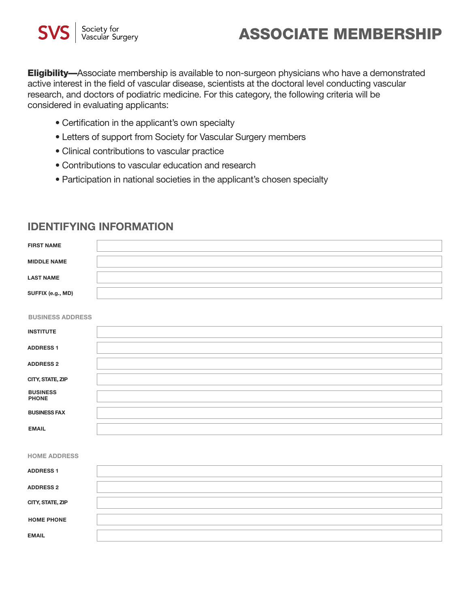# **ASSOCIATE MEMBERSHIP**

**Eligibility—**Associate membership is available to non-surgeon physicians who have a demonstrated active interest in the field of vascular disease, scientists at the doctoral level conducting vascular research, and doctors of podiatric medicine. For this category, the following criteria will be considered in evaluating applicants:

- $\bullet$  Certification in the applicant's own specialty
	- Letters of support from Society for Vascular Surgery members
- $\bullet$  Clinical contributions to vascular practice
- Contributions to vascular education and research
	- Participation in national societies in the applicant's chosen specialty

#### **IDENTIFYING INFORMATION**

| <b>FIRST NAME</b>               |  |
|---------------------------------|--|
| <b>MIDDLE NAME</b>              |  |
| <b>LAST NAME</b>                |  |
| SUFFIX (e.g., MD)               |  |
| <b>BUSINESS ADDRESS</b>         |  |
| <b>INSTITUTE</b>                |  |
| <b>ADDRESS1</b>                 |  |
| <b>ADDRESS 2</b>                |  |
| CITY, STATE, ZIP                |  |
| <b>BUSINESS</b><br><b>PHONE</b> |  |
| <b>BUSINESS FAX</b>             |  |
| <b>EMAIL</b>                    |  |
|                                 |  |
| <b>HOME ADDRESS</b>             |  |
| <b>ADDRESS 1</b>                |  |
| <b>ADDRESS 2</b>                |  |
| CITY, STATE, ZIP                |  |
| <b>HOME PHONE</b>               |  |
| <b>EMAIL</b>                    |  |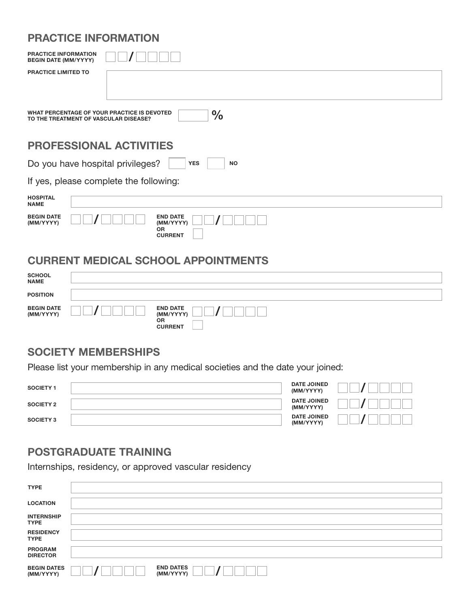## **PRACTICE INFORMATION**

| <b>PRACTICE INFORMATION</b><br><b>BEGIN DATE (MM/YYYY)</b> |                                                                                                       |
|------------------------------------------------------------|-------------------------------------------------------------------------------------------------------|
| <b>PRACTICE LIMITED TO</b>                                 |                                                                                                       |
|                                                            | WHAT PERCENTAGE OF YOUR PRACTICE IS DEVOTED<br>$\frac{0}{0}$<br>TO THE TREATMENT OF VASCULAR DISEASE? |
|                                                            | <b>PROFESSIONAL ACTIVITIES</b>                                                                        |
|                                                            | Do you have hospital privileges?<br><b>YES</b><br><b>NO</b>                                           |
|                                                            | If yes, please complete the following:                                                                |
| <b>HOSPITAL</b><br><b>NAME</b>                             |                                                                                                       |
| <b>BEGIN DATE</b><br>(MM/YYYY)                             | <b>END DATE</b><br>(MM/YYYY)<br><b>OR</b><br><b>CURRENT</b>                                           |

#### **CURRENT MEDICAL SCHOOL APPOINTMENTS**

| <b>SCHOOL<br/>NAME</b>         |                                                             |
|--------------------------------|-------------------------------------------------------------|
| <b>POSITION</b>                |                                                             |
| <b>BEGIN DATE</b><br>(MM/YYYY) | <b>END DATE</b><br>(MM/YYYY)<br><b>OR</b><br><b>CURRENT</b> |

#### **SOCIETY MEMBERSHIPS**

Please list your membership in any medical societies and the date your joined:

| <b>SOCIETY 1</b> | <b>DATE JOINED</b><br>(MM/YYYY) |  |
|------------------|---------------------------------|--|
| <b>SOCIETY 2</b> | <b>DATE JOINED</b><br>(MM/YYYY) |  |
| <b>SOCIETY 3</b> | <b>DATE JOINED</b><br>(MM/YYYY) |  |

# **POSTGRADUATE TRAINING**

Internships, residency, or approved vascular residency

| <b>TYPE</b>                       |                               |
|-----------------------------------|-------------------------------|
| <b>LOCATION</b>                   |                               |
| <b>INTERNSHIP</b><br><b>TYPE</b>  |                               |
| <b>RESIDENCY</b><br><b>TYPE</b>   |                               |
| <b>PROGRAM</b><br><b>DIRECTOR</b> |                               |
| <b>BEGIN DATES</b><br>(MM/YYYY)   | <b>END DATES</b><br>(MM/YYYY) |